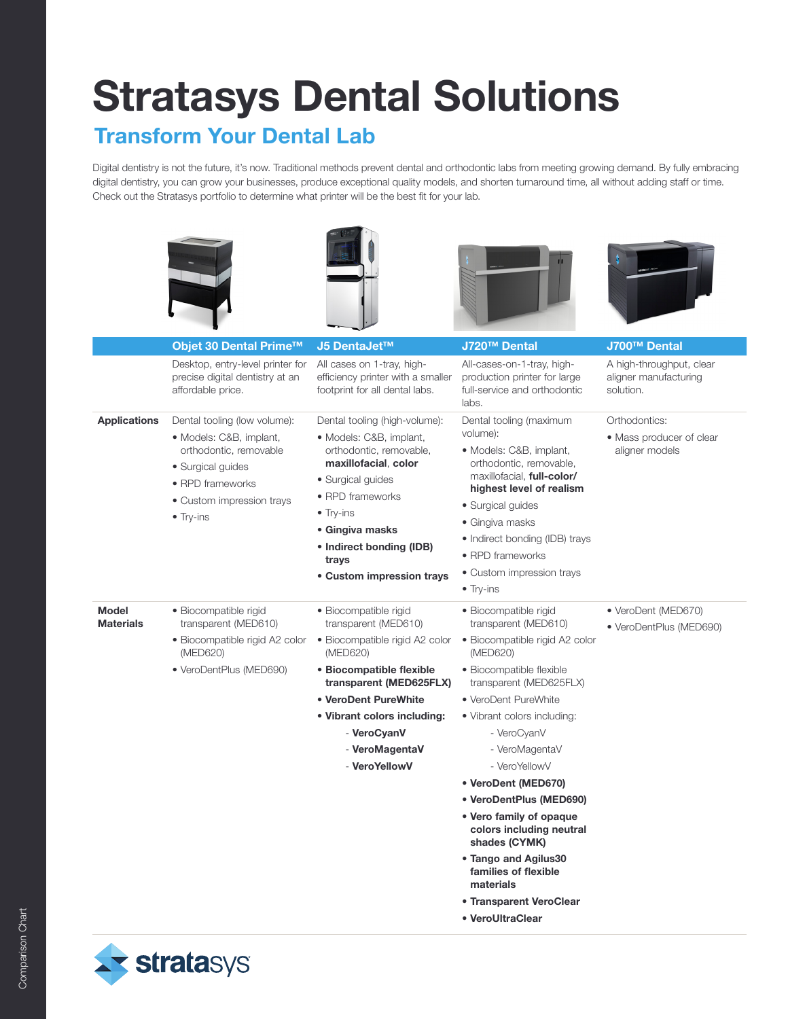## Stratasys Dental Solutions

## Transform Your Dental Lab

Digital dentistry is not the future, it's now. Traditional methods prevent dental and orthodontic labs from meeting growing demand. By fully embracing digital dentistry, you can grow your businesses, produce exceptional quality models, and shorten turnaround time, all without adding staff or time. Check out the Stratasys portfolio to determine what printer will be the best fit for your lab.









|                                  | Objet 30 Dental Prime™                                                                                                                                                       | J5 DentaJet™                                                                                                                                                                                                                                                   | J720™ Dental                                                                                                                                                                                                                                                                                                                                                                                                                                                                                      | J700™ Dental                                                   |
|----------------------------------|------------------------------------------------------------------------------------------------------------------------------------------------------------------------------|----------------------------------------------------------------------------------------------------------------------------------------------------------------------------------------------------------------------------------------------------------------|---------------------------------------------------------------------------------------------------------------------------------------------------------------------------------------------------------------------------------------------------------------------------------------------------------------------------------------------------------------------------------------------------------------------------------------------------------------------------------------------------|----------------------------------------------------------------|
|                                  | Desktop, entry-level printer for<br>precise digital dentistry at an<br>affordable price.                                                                                     | All cases on 1-tray, high-<br>efficiency printer with a smaller<br>footprint for all dental labs.                                                                                                                                                              | All-cases-on-1-tray, high-<br>production printer for large<br>full-service and orthodontic<br>labs.                                                                                                                                                                                                                                                                                                                                                                                               | A high-throughput, clear<br>aligner manufacturing<br>solution. |
| <b>Applications</b>              | Dental tooling (low volume):<br>• Models: C&B, implant,<br>orthodontic, removable<br>• Surgical guides<br>• RPD frameworks<br>• Custom impression trays<br>$\bullet$ Try-ins | Dental tooling (high-volume):<br>• Models: C&B, implant,<br>orthodontic, removable,<br>maxillofacial, color<br>• Surgical guides<br>• RPD frameworks<br>$\bullet$ Try-ins<br>• Gingiva masks<br>• Indirect bonding (IDB)<br>trays<br>• Custom impression trays | Dental tooling (maximum<br>volume):<br>• Models: C&B, implant,<br>orthodontic, removable,<br>maxillofacial, <b>full-color/</b><br>highest level of realism<br>· Surgical guides<br>• Gingiva masks<br>• Indirect bonding (IDB) trays<br>• RPD frameworks<br>• Custom impression trays<br>$\bullet$ Try-ins                                                                                                                                                                                        | Orthodontics:<br>• Mass producer of clear<br>aligner models    |
| <b>Model</b><br><b>Materials</b> | · Biocompatible rigid<br>transparent (MED610)<br>• Biocompatible rigid A2 color<br>(MED620)<br>• VeroDentPlus (MED690)                                                       | · Biocompatible rigid<br>transparent (MED610)<br>• Biocompatible rigid A2 color<br>(MED620)<br>• Biocompatible flexible<br>transparent (MED625FLX)<br>• VeroDent PureWhite<br>• Vibrant colors including:<br>- VeroCyanV<br>- VeroMagentaV<br>- VeroYellowV    | · Biocompatible rigid<br>transparent (MED610)<br>· Biocompatible rigid A2 color<br>(MED620)<br>• Biocompatible flexible<br>transparent (MED625FLX)<br>• VeroDent PureWhite<br>• Vibrant colors including:<br>- VeroCyanV<br>- VeroMagentaV<br>- VeroYellowV<br>• VeroDent (MED670)<br>• VeroDentPlus (MED690)<br>• Vero family of opaque<br>colors including neutral<br>shades (CYMK)<br>• Tango and Agilus30<br>families of flexible<br>materials<br>• Transparent VeroClear<br>• VeroUltraClear | • VeroDent (MED670)<br>• VeroDentPlus (MED690)                 |